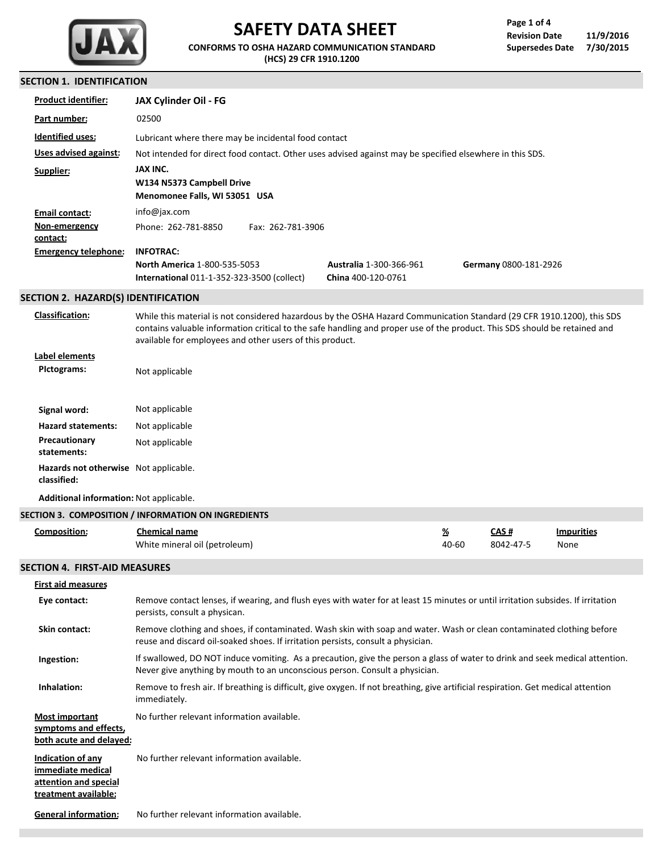

# **SAFETY DATA SHEET**

**CONFORMS TO OSHA HAZARD COMMUNICATION STANDARD (HCS) 29 CFR 1910.1200**

٦

٦

## **SECTION 1. IDENTIFICATION**

| Product identifier:                                                                            | <b>JAX Cylinder Oil - FG</b>                                                                                                                                                                                                                                                                                     |  |                                                      |                   |                       |                           |
|------------------------------------------------------------------------------------------------|------------------------------------------------------------------------------------------------------------------------------------------------------------------------------------------------------------------------------------------------------------------------------------------------------------------|--|------------------------------------------------------|-------------------|-----------------------|---------------------------|
| Part number:                                                                                   | 02500                                                                                                                                                                                                                                                                                                            |  |                                                      |                   |                       |                           |
| <b>Identified uses:</b>                                                                        | Lubricant where there may be incidental food contact                                                                                                                                                                                                                                                             |  |                                                      |                   |                       |                           |
| <b>Uses advised against:</b>                                                                   | Not intended for direct food contact. Other uses advised against may be specified elsewhere in this SDS.                                                                                                                                                                                                         |  |                                                      |                   |                       |                           |
| Supplier:                                                                                      | JAX INC.                                                                                                                                                                                                                                                                                                         |  |                                                      |                   |                       |                           |
|                                                                                                | W134 N5373 Campbell Drive<br>Menomonee Falls, WI 53051 USA                                                                                                                                                                                                                                                       |  |                                                      |                   |                       |                           |
| <b>Email contact:</b>                                                                          | info@jax.com                                                                                                                                                                                                                                                                                                     |  |                                                      |                   |                       |                           |
| Non-emergency<br>contact:                                                                      | Phone: 262-781-8850<br>Fax: 262-781-3906                                                                                                                                                                                                                                                                         |  |                                                      |                   |                       |                           |
| <b>Emergency telephone:</b>                                                                    | <b>INFOTRAC:</b>                                                                                                                                                                                                                                                                                                 |  |                                                      |                   |                       |                           |
|                                                                                                | <b>North America 1-800-535-5053</b><br><b>International 011-1-352-323-3500 (collect)</b>                                                                                                                                                                                                                         |  | <b>Australia 1-300-366-961</b><br>China 400-120-0761 |                   | Germany 0800-181-2926 |                           |
| SECTION 2. HAZARD(S) IDENTIFICATION                                                            |                                                                                                                                                                                                                                                                                                                  |  |                                                      |                   |                       |                           |
| <b>Classification:</b>                                                                         | While this material is not considered hazardous by the OSHA Hazard Communication Standard (29 CFR 1910.1200), this SDS<br>contains valuable information critical to the safe handling and proper use of the product. This SDS should be retained and<br>available for employees and other users of this product. |  |                                                      |                   |                       |                           |
| Label elements<br><b>Pictograms:</b>                                                           | Not applicable                                                                                                                                                                                                                                                                                                   |  |                                                      |                   |                       |                           |
| Signal word:                                                                                   | Not applicable                                                                                                                                                                                                                                                                                                   |  |                                                      |                   |                       |                           |
| <b>Hazard statements:</b>                                                                      | Not applicable                                                                                                                                                                                                                                                                                                   |  |                                                      |                   |                       |                           |
| Precautionary<br>statements:                                                                   | Not applicable                                                                                                                                                                                                                                                                                                   |  |                                                      |                   |                       |                           |
| Hazards not otherwise Not applicable.<br>classified:                                           |                                                                                                                                                                                                                                                                                                                  |  |                                                      |                   |                       |                           |
|                                                                                                |                                                                                                                                                                                                                                                                                                                  |  |                                                      |                   |                       |                           |
| Additional information: Not applicable.                                                        |                                                                                                                                                                                                                                                                                                                  |  |                                                      |                   |                       |                           |
|                                                                                                | SECTION 3. COMPOSITION / INFORMATION ON INGREDIENTS                                                                                                                                                                                                                                                              |  |                                                      |                   |                       |                           |
| <b>Composition:</b>                                                                            | <b>Chemical name</b><br>White mineral oil (petroleum)                                                                                                                                                                                                                                                            |  |                                                      | <u>%</u><br>40-60 | CAS#<br>8042-47-5     | <b>Impurities</b><br>None |
| <b>SECTION 4. FIRST-AID MEASURES</b>                                                           |                                                                                                                                                                                                                                                                                                                  |  |                                                      |                   |                       |                           |
| <b>First aid measures</b>                                                                      |                                                                                                                                                                                                                                                                                                                  |  |                                                      |                   |                       |                           |
| Eye contact:                                                                                   | Remove contact lenses, if wearing, and flush eyes with water for at least 15 minutes or until irritation subsides. If irritation<br>persists, consult a physican.                                                                                                                                                |  |                                                      |                   |                       |                           |
| Skin contact:                                                                                  | Remove clothing and shoes, if contaminated. Wash skin with soap and water. Wash or clean contaminated clothing before<br>reuse and discard oil-soaked shoes. If irritation persists, consult a physician.                                                                                                        |  |                                                      |                   |                       |                           |
| Ingestion:                                                                                     | If swallowed, DO NOT induce vomiting. As a precaution, give the person a glass of water to drink and seek medical attention.<br>Never give anything by mouth to an unconscious person. Consult a physician.                                                                                                      |  |                                                      |                   |                       |                           |
| Inhalation:                                                                                    | Remove to fresh air. If breathing is difficult, give oxygen. If not breathing, give artificial respiration. Get medical attention<br>immediately.                                                                                                                                                                |  |                                                      |                   |                       |                           |
| <b>Most important</b><br>symptoms and effects,<br>both acute and delayed:                      | No further relevant information available.                                                                                                                                                                                                                                                                       |  |                                                      |                   |                       |                           |
| <b>Indication of any</b><br>immediate medical<br>attention and special<br>treatment available: | No further relevant information available.                                                                                                                                                                                                                                                                       |  |                                                      |                   |                       |                           |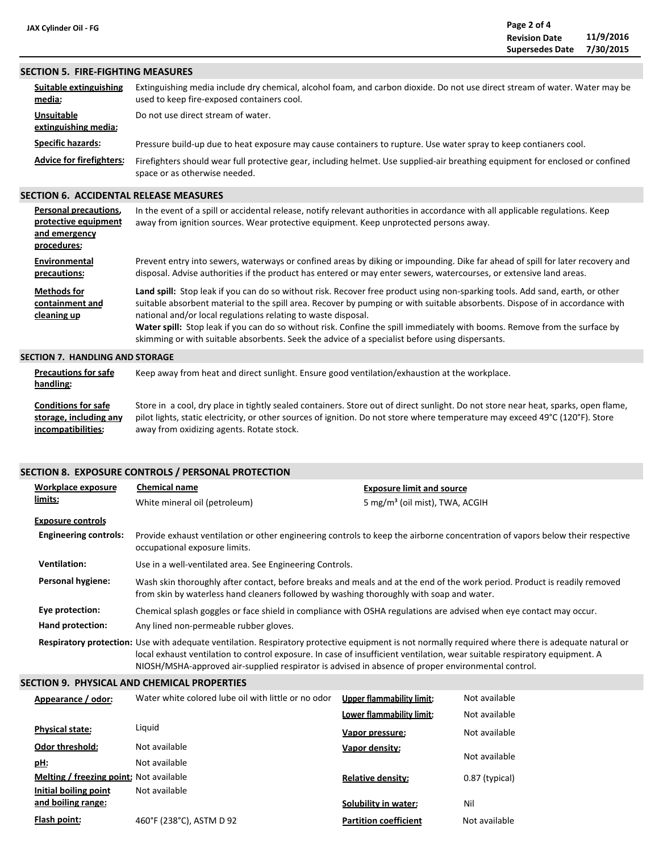#### **SECTION 5. FIRE-FIGHTING MEASURES**

| Suitable extinguishing<br>media:          | Extinguishing media include dry chemical, alcohol foam, and carbon dioxide. Do not use direct stream of water. Water may be<br>used to keep fire-exposed containers cool. |
|-------------------------------------------|---------------------------------------------------------------------------------------------------------------------------------------------------------------------------|
| <b>Unsuitable</b><br>extinguishing media: | Do not use direct stream of water.                                                                                                                                        |
| <b>Specific hazards:</b>                  | Pressure build-up due to heat exposure may cause containers to rupture. Use water spray to keep contianers cool.                                                          |
| <b>Advice for firefighters:</b>           | Firefighters should wear full protective gear, including helmet. Use supplied-air breathing equipment for enclosed or confined<br>space or as otherwise needed.           |

## **SECTION 6. ACCIDENTAL RELEASE MEASURES**

| <b>Personal precautions,</b><br>protective equipment<br>and emergency<br>procedures: | In the event of a spill or accidental release, notify relevant authorities in accordance with all applicable regulations. Keep<br>away from ignition sources. Wear protective equipment. Keep unprotected persons away.                                                                                                                                                                                                                                                                                                                                         |
|--------------------------------------------------------------------------------------|-----------------------------------------------------------------------------------------------------------------------------------------------------------------------------------------------------------------------------------------------------------------------------------------------------------------------------------------------------------------------------------------------------------------------------------------------------------------------------------------------------------------------------------------------------------------|
| Environmental<br>precautions:                                                        | Prevent entry into sewers, waterways or confined areas by diking or impounding. Dike far ahead of spill for later recovery and<br>disposal. Advise authorities if the product has entered or may enter sewers, watercourses, or extensive land areas.                                                                                                                                                                                                                                                                                                           |
| <b>Methods for</b><br>containment and<br>cleaning up                                 | Land spill: Stop leak if you can do so without risk. Recover free product using non-sparking tools. Add sand, earth, or other<br>suitable absorbent material to the spill area. Recover by pumping or with suitable absorbents. Dispose of in accordance with<br>national and/or local regulations relating to waste disposal.<br>Water spill: Stop leak if you can do so without risk. Confine the spill immediately with booms. Remove from the surface by<br>skimming or with suitable absorbents. Seek the advice of a specialist before using dispersants. |
| ECTIONI 7<br><b>UANDUNG AND CTODACE</b>                                              |                                                                                                                                                                                                                                                                                                                                                                                                                                                                                                                                                                 |

#### **SECTION 7. HANDLING AND STORAGE**

| <b>Precautions for safe</b><br>handling: | Keep away from heat and direct sunlight. Ensure good ventilation/exhaustion at the workplace.                                      |
|------------------------------------------|------------------------------------------------------------------------------------------------------------------------------------|
| <b>Conditions for safe</b>               | Store in a cool, dry place in tightly sealed containers. Store out of direct sunlight. Do not store near heat, sparks, open flame, |
| storage, including any                   | pilot lights, static electricity, or other sources of ignition. Do not store where temperature may exceed 49°C (120°F). Store      |
| incompatibilities:                       | away from oxidizing agents. Rotate stock.                                                                                          |

## **SECTION 8. EXPOSURE CONTROLS / PERSONAL PROTECTION**

| <b>Workplace exposure</b>    | <b>Chemical name</b>                                                                                                                                                                                                  | <b>Exposure limit and source</b>                                                                                                                                                                                                                                                  |  |  |
|------------------------------|-----------------------------------------------------------------------------------------------------------------------------------------------------------------------------------------------------------------------|-----------------------------------------------------------------------------------------------------------------------------------------------------------------------------------------------------------------------------------------------------------------------------------|--|--|
| limits:                      | White mineral oil (petroleum)                                                                                                                                                                                         | 5 mg/m <sup>3</sup> (oil mist), TWA, ACGIH                                                                                                                                                                                                                                        |  |  |
| <b>Exposure controls</b>     |                                                                                                                                                                                                                       |                                                                                                                                                                                                                                                                                   |  |  |
| <b>Engineering controls:</b> | Provide exhaust ventilation or other engineering controls to keep the airborne concentration of vapors below their respective<br>occupational exposure limits.                                                        |                                                                                                                                                                                                                                                                                   |  |  |
| <b>Ventilation:</b>          | Use in a well-ventilated area. See Engineering Controls.                                                                                                                                                              |                                                                                                                                                                                                                                                                                   |  |  |
| Personal hygiene:            | Wash skin thoroughly after contact, before breaks and meals and at the end of the work period. Product is readily removed<br>from skin by waterless hand cleaners followed by washing thoroughly with soap and water. |                                                                                                                                                                                                                                                                                   |  |  |
| Eye protection:              | Chemical splash goggles or face shield in compliance with OSHA regulations are advised when eye contact may occur.                                                                                                    |                                                                                                                                                                                                                                                                                   |  |  |
| Hand protection:             | Any lined non-permeable rubber gloves.                                                                                                                                                                                |                                                                                                                                                                                                                                                                                   |  |  |
|                              | NIOSH/MSHA-approved air-supplied respirator is advised in absence of proper environmental control.                                                                                                                    | Respiratory protection: Use with adequate ventilation. Respiratory protective equipment is not normally required where there is adequate natural or<br>local exhaust ventilation to control exposure. In case of insufficient ventilation, wear suitable respiratory equipment. A |  |  |

#### **SECTION 9. PHYSICAL AND CHEMICAL PROPERTIES**

| Appearance / odor:                      | Water white colored lube oil with little or no odor | Upper flammability limit:    | Not available  |
|-----------------------------------------|-----------------------------------------------------|------------------------------|----------------|
|                                         |                                                     | Lower flammability limit:    | Not available  |
| <b>Physical state:</b>                  | Liguid                                              | Vapor pressure:              | Not available  |
| <b>Odor threshold:</b>                  | Not available                                       | Vapor density:               |                |
| <u>pH</u> :                             | Not available                                       |                              | Not available  |
| Melting / freezing point: Not available |                                                     | <b>Relative density:</b>     | 0.87 (typical) |
| Initial boiling point                   | Not available                                       |                              |                |
| and boiling range:                      |                                                     | Solubility in water:         | Nil            |
| Flash point:                            | 460°F (238°C), ASTM D 92                            | <b>Partition coefficient</b> | Not available  |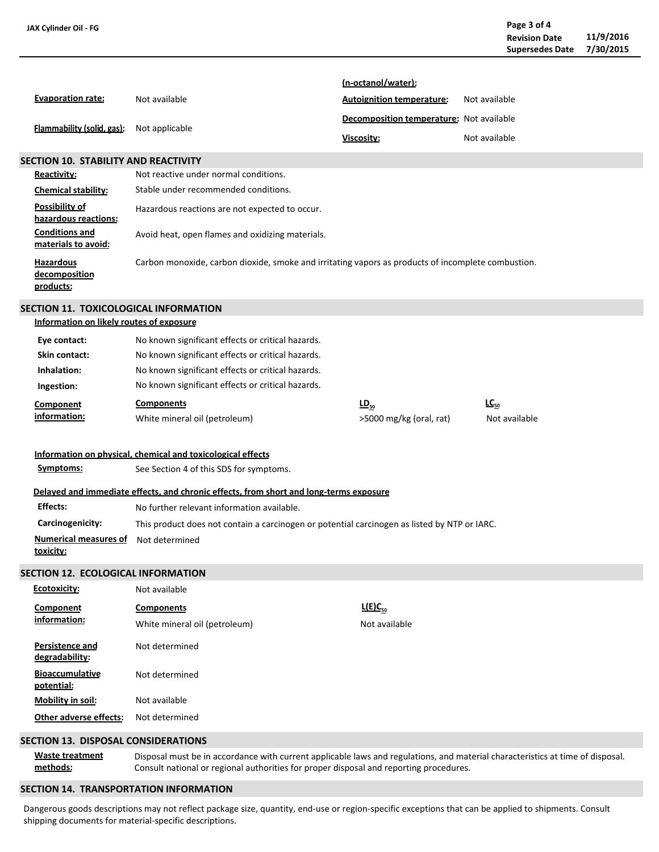| JAX Cylinder Oil - FG                          |                                                                                                                                                                                                                          |                                          |               | Page 3 of 4<br><b>Revision Date</b><br><b>Supersedes Date</b> | 11/9/2016<br>7/30/2015 |
|------------------------------------------------|--------------------------------------------------------------------------------------------------------------------------------------------------------------------------------------------------------------------------|------------------------------------------|---------------|---------------------------------------------------------------|------------------------|
|                                                |                                                                                                                                                                                                                          | (n-octanol/water):                       |               |                                                               |                        |
| <b>Evaporation rate:</b>                       | Not available                                                                                                                                                                                                            | <b>Autoignition temperature:</b>         | Not available |                                                               |                        |
|                                                |                                                                                                                                                                                                                          | Decomposition temperature: Not available |               |                                                               |                        |
| Flammability (solid, gas):                     | Not applicable                                                                                                                                                                                                           |                                          |               |                                                               |                        |
|                                                |                                                                                                                                                                                                                          | Viscosity:                               | Not available |                                                               |                        |
| <b>SECTION 10. STABILITY AND REACTIVITY</b>    |                                                                                                                                                                                                                          |                                          |               |                                                               |                        |
| <b>Reactivity:</b>                             | Not reactive under normal conditions.                                                                                                                                                                                    |                                          |               |                                                               |                        |
| <b>Chemical stability:</b>                     | Stable under recommended conditions.                                                                                                                                                                                     |                                          |               |                                                               |                        |
| <b>Possibility of</b><br>hazardous reactions:  | Hazardous reactions are not expected to occur.                                                                                                                                                                           |                                          |               |                                                               |                        |
| <b>Conditions and</b><br>materials to avoid:   | Avoid heat, open flames and oxidizing materials.                                                                                                                                                                         |                                          |               |                                                               |                        |
| <b>Hazardous</b><br>decomposition<br>products: | Carbon monoxide, carbon dioxide, smoke and irritating vapors as products of incomplete combustion.                                                                                                                       |                                          |               |                                                               |                        |
| SECTION 11. TOXICOLOGICAL INFORMATION          |                                                                                                                                                                                                                          |                                          |               |                                                               |                        |
| Information on likely routes of exposure       |                                                                                                                                                                                                                          |                                          |               |                                                               |                        |
| Eye contact:                                   | No known significant effects or critical hazards.                                                                                                                                                                        |                                          |               |                                                               |                        |
| <b>Skin contact:</b>                           | No known significant effects or critical hazards.                                                                                                                                                                        |                                          |               |                                                               |                        |
| Inhalation:                                    | No known significant effects or critical hazards.                                                                                                                                                                        |                                          |               |                                                               |                        |
| Ingestion:                                     | No known significant effects or critical hazards.                                                                                                                                                                        |                                          |               |                                                               |                        |
| <b>Component</b>                               | <b>Components</b>                                                                                                                                                                                                        | $LD_{50}$                                | $LC_{50}$     |                                                               |                        |
| information:                                   | White mineral oil (petroleum)                                                                                                                                                                                            | >5000 mg/kg (oral, rat)                  |               | Not available                                                 |                        |
|                                                | Information on physical, chemical and toxicological effects                                                                                                                                                              |                                          |               |                                                               |                        |
| Symptoms:                                      | See Section 4 of this SDS for symptoms.                                                                                                                                                                                  |                                          |               |                                                               |                        |
|                                                | Delayed and immediate effects, and chronic effects, from short and long-terms exposure                                                                                                                                   |                                          |               |                                                               |                        |
| Effects:                                       | No further relevant information available.                                                                                                                                                                               |                                          |               |                                                               |                        |
| Carcinogenicity:                               | This product does not contain a carcinogen or potential carcinogen as listed by NTP or IARC.                                                                                                                             |                                          |               |                                                               |                        |
| <b>Numerical measures of</b><br>toxicity:      | Not determined                                                                                                                                                                                                           |                                          |               |                                                               |                        |
| SECTION 12. ECOLOGICAL INFORMATION             |                                                                                                                                                                                                                          |                                          |               |                                                               |                        |
| Ecotoxicity:                                   | Not available                                                                                                                                                                                                            |                                          |               |                                                               |                        |
| <b>Component</b>                               | <b>Components</b>                                                                                                                                                                                                        | $L(E)C_{50}$                             |               |                                                               |                        |
| information:                                   | White mineral oil (petroleum)                                                                                                                                                                                            | Not available                            |               |                                                               |                        |
| <b>Persistence and</b><br>degradability:       | Not determined                                                                                                                                                                                                           |                                          |               |                                                               |                        |
| <b>Bioaccumulative</b><br>potential:           | Not determined                                                                                                                                                                                                           |                                          |               |                                                               |                        |
| <b>Mobility in soil:</b>                       | Not available                                                                                                                                                                                                            |                                          |               |                                                               |                        |
| Other adverse effects:                         | Not determined                                                                                                                                                                                                           |                                          |               |                                                               |                        |
| SECTION 13. DISPOSAL CONSIDERATIONS            |                                                                                                                                                                                                                          |                                          |               |                                                               |                        |
| <b>Waste treatment</b><br>methods:             | Disposal must be in accordance with current applicable laws and regulations, and material characteristics at time of disposal.<br>Consult national or regional authorities for proper disposal and reporting procedures. |                                          |               |                                                               |                        |
| SECTION 14. TRANSPORTATION INFORMATION         |                                                                                                                                                                                                                          |                                          |               |                                                               |                        |

Dangerous goods descriptions may not reflect package size, quantity, end-use or region-specific exceptions that can be applied to shipments. Consult shipping documents for material-specific descriptions.